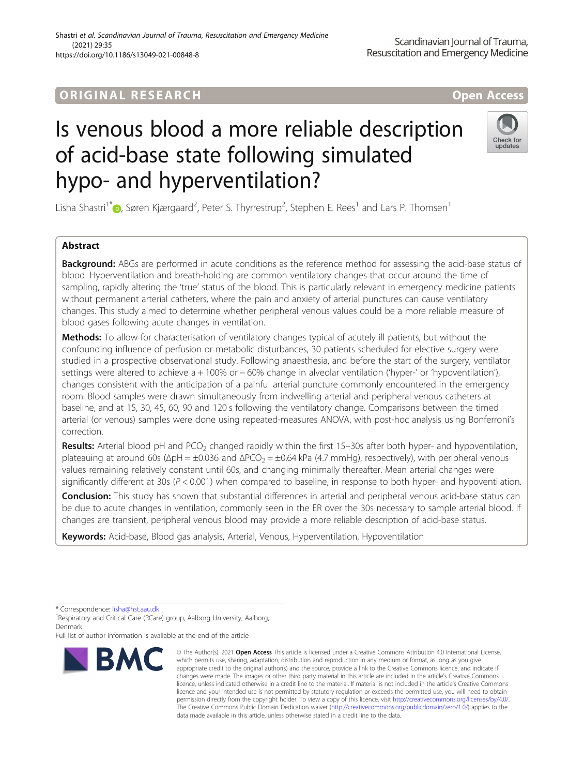## ORIGINA L R E S EA RCH Open Access

# Is venous blood a more reliable description of acid-base state following simulated hypo- and hyperventilation?

Lisha Shastri $1^*$ D[,](http://orcid.org/0000-0002-7976-0429) Søren Kjærgaard<sup>2</sup>, Peter S. Thyrrestrup<sup>2</sup>, Stephen E. Rees $^1$  and Lars P. Thomsen $^1$ 

### Abstract

**Background:** ABGs are performed in acute conditions as the reference method for assessing the acid-base status of blood. Hyperventilation and breath-holding are common ventilatory changes that occur around the time of sampling, rapidly altering the 'true' status of the blood. This is particularly relevant in emergency medicine patients without permanent arterial catheters, where the pain and anxiety of arterial punctures can cause ventilatory changes. This study aimed to determine whether peripheral venous values could be a more reliable measure of blood gases following acute changes in ventilation.

Methods: To allow for characterisation of ventilatory changes typical of acutely ill patients, but without the confounding influence of perfusion or metabolic disturbances, 30 patients scheduled for elective surgery were studied in a prospective observational study. Following anaesthesia, and before the start of the surgery, ventilator settings were altered to achieve a + 100% or − 60% change in alveolar ventilation ('hyper-' or 'hypoventilation'), changes consistent with the anticipation of a painful arterial puncture commonly encountered in the emergency room. Blood samples were drawn simultaneously from indwelling arterial and peripheral venous catheters at baseline, and at 15, 30, 45, 60, 90 and 120 s following the ventilatory change. Comparisons between the timed arterial (or venous) samples were done using repeated-measures ANOVA, with post-hoc analysis using Bonferroni's correction.

Results: Arterial blood pH and PCO<sub>2</sub> changed rapidly within the first 15–30s after both hyper- and hypoventilation, plateauing at around 60s (ΔpH =  $\pm$ 0.036 and  $\Delta$ PCO<sub>2</sub> =  $\pm$ 0.64 kPa (4.7 mmHg), respectively), with peripheral venous values remaining relatively constant until 60s, and changing minimally thereafter. Mean arterial changes were significantly different at 30s ( $P < 0.001$ ) when compared to baseline, in response to both hyper- and hypoventilation.

**Conclusion:** This study has shown that substantial differences in arterial and peripheral venous acid-base status can be due to acute changes in ventilation, commonly seen in the ER over the 30s necessary to sample arterial blood. If changes are transient, peripheral venous blood may provide a more reliable description of acid-base status.

Keywords: Acid-base, Blood gas analysis, Arterial, Venous, Hyperventilation, Hypoventilation

\* Correspondence: [lisha@hst.aau.dk](mailto:lisha@hst.aau.dk) <sup>1</sup>

<sup>1</sup> Respiratory and Critical Care (RCare) group, Aalborg University, Aalborg, Denmark

Full list of author information is available at the end of the article

data made available in this article, unless otherwise stated in a credit line to the data.

© The Author(s), 2021 **Open Access** This article is licensed under a Creative Commons Attribution 4.0 International License, appropriate credit to the original author(s) and the source, provide a link to the Creative Commons licence, and indicate if changes were made. The images or other third party material in this article are included in the article's Creative Commons licence, unless indicated otherwise in a credit line to the material. If material is not included in the article's Creative Commons licence and your intended use is not permitted by statutory regulation or exceeds the permitted use, you will need to obtain permission directly from the copyright holder. To view a copy of this licence, visit [http://creativecommons.org/licenses/by/4.0/.](http://creativecommons.org/licenses/by/4.0/) The Creative Commons Public Domain Dedication waiver [\(http://creativecommons.org/publicdomain/zero/1.0/](http://creativecommons.org/publicdomain/zero/1.0/)) applies to the





**BMC** which permits use, sharing, adaptation, distribution and reproduction in any medium or format, as long as you give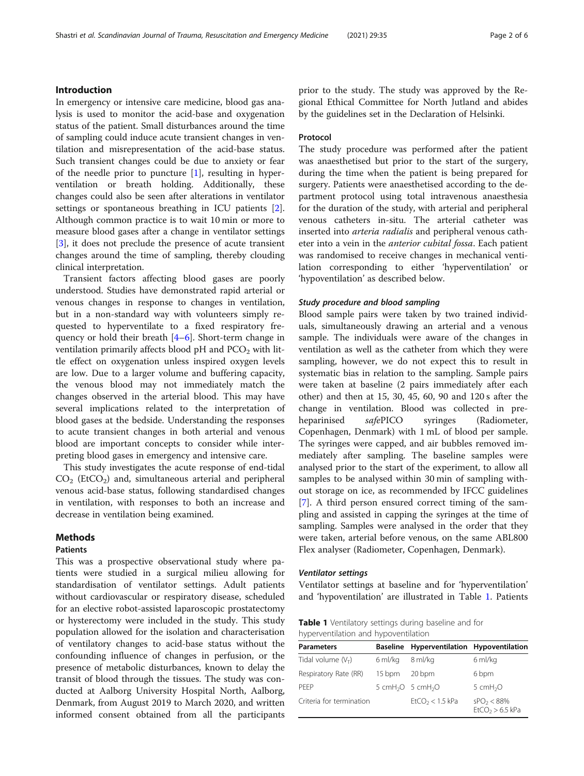#### Introduction

In emergency or intensive care medicine, blood gas analysis is used to monitor the acid-base and oxygenation status of the patient. Small disturbances around the time of sampling could induce acute transient changes in ventilation and misrepresentation of the acid-base status. Such transient changes could be due to anxiety or fear of the needle prior to puncture  $[1]$  $[1]$ , resulting in hyperventilation or breath holding. Additionally, these changes could also be seen after alterations in ventilator settings or spontaneous breathing in ICU patients [\[2](#page-5-0)]. Although common practice is to wait 10 min or more to measure blood gases after a change in ventilator settings [[3\]](#page-5-0), it does not preclude the presence of acute transient changes around the time of sampling, thereby clouding clinical interpretation.

Transient factors affecting blood gases are poorly understood. Studies have demonstrated rapid arterial or venous changes in response to changes in ventilation, but in a non-standard way with volunteers simply requested to hyperventilate to a fixed respiratory frequency or hold their breath [[4](#page-5-0)–[6](#page-5-0)]. Short-term change in ventilation primarily affects blood  $pH$  and  $PCO<sub>2</sub>$  with little effect on oxygenation unless inspired oxygen levels are low. Due to a larger volume and buffering capacity, the venous blood may not immediately match the changes observed in the arterial blood. This may have several implications related to the interpretation of blood gases at the bedside. Understanding the responses to acute transient changes in both arterial and venous blood are important concepts to consider while interpreting blood gases in emergency and intensive care.

This study investigates the acute response of end-tidal  $CO<sub>2</sub>$  (EtCO<sub>2</sub>) and, simultaneous arterial and peripheral venous acid-base status, following standardised changes in ventilation, with responses to both an increase and decrease in ventilation being examined.

#### Methods

#### Patients

This was a prospective observational study where patients were studied in a surgical milieu allowing for standardisation of ventilator settings. Adult patients without cardiovascular or respiratory disease, scheduled for an elective robot-assisted laparoscopic prostatectomy or hysterectomy were included in the study. This study population allowed for the isolation and characterisation of ventilatory changes to acid-base status without the confounding influence of changes in perfusion, or the presence of metabolic disturbances, known to delay the transit of blood through the tissues. The study was conducted at Aalborg University Hospital North, Aalborg, Denmark, from August 2019 to March 2020, and written informed consent obtained from all the participants prior to the study. The study was approved by the Regional Ethical Committee for North Jutland and abides by the guidelines set in the Declaration of Helsinki.

#### Protocol

The study procedure was performed after the patient was anaesthetised but prior to the start of the surgery, during the time when the patient is being prepared for surgery. Patients were anaesthetised according to the department protocol using total intravenous anaesthesia for the duration of the study, with arterial and peripheral venous catheters in-situ. The arterial catheter was inserted into arteria radialis and peripheral venous catheter into a vein in the anterior cubital fossa. Each patient was randomised to receive changes in mechanical ventilation corresponding to either 'hyperventilation' or 'hypoventilation' as described below.

#### Study procedure and blood sampling

Blood sample pairs were taken by two trained individuals, simultaneously drawing an arterial and a venous sample. The individuals were aware of the changes in ventilation as well as the catheter from which they were sampling, however, we do not expect this to result in systematic bias in relation to the sampling. Sample pairs were taken at baseline (2 pairs immediately after each other) and then at 15, 30, 45, 60, 90 and 120 s after the change in ventilation. Blood was collected in preheparinised safePICO syringes (Radiometer, Copenhagen, Denmark) with 1 mL of blood per sample. The syringes were capped, and air bubbles removed immediately after sampling. The baseline samples were analysed prior to the start of the experiment, to allow all samples to be analysed within 30 min of sampling without storage on ice, as recommended by IFCC guidelines [[7\]](#page-5-0). A third person ensured correct timing of the sampling and assisted in capping the syringes at the time of sampling. Samples were analysed in the order that they were taken, arterial before venous, on the same ABL800 Flex analyser (Radiometer, Copenhagen, Denmark).

#### Ventilator settings

Ventilator settings at baseline and for 'hyperventilation' and 'hypoventilation' are illustrated in Table 1. Patients

Table 1 Ventilatory settings during baseline and for hyperventilation and hypoventilation

| <b>Parameters</b>        | <b>Baseline</b> | Hyperventilation Hypoventilation          |                                             |
|--------------------------|-----------------|-------------------------------------------|---------------------------------------------|
| Tidal volume $(V_T)$     | 6 ml/kg         | 8 ml/kg                                   | 6 ml/kg                                     |
| Respiratory Rate (RR)    | 15 bpm          | 20 bpm                                    | 6 bpm                                       |
| PFFP                     |                 | 5 cmH <sub>2</sub> O 5 cmH <sub>2</sub> O | 5 $cmH2O$                                   |
| Criteria for termination |                 | $EtCO2 < 1.5$ kPa                         | SPO <sub>2</sub> < 88%<br>$EtCO2 > 6.5$ kPa |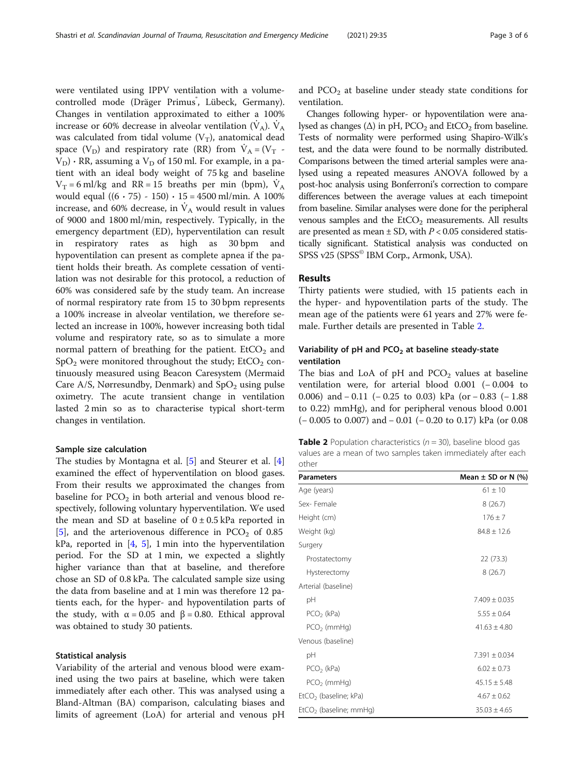were ventilated using IPPV ventilation with a volumecontrolled mode (Dräger Primus<sup>\*</sup>, Lübeck, Germany). Changes in ventilation approximated to either a 100% increase or 60% decrease in alveolar ventilation  $(V_A)$ .  $V_A$ was calculated from tidal volume  $(V_T)$ , anatomical dead space  $(V_D)$  and respiratory rate (RR) from  $\dot{V}_A = (V_T V_D$ ) ⋅ RR, assuming a  $V_D$  of 150 ml. For example, in a patient with an ideal body weight of 75 kg and baseline  $V_T = 6$  ml/kg and RR = 15 breaths per min (bpm),  $\dot{V}_A$ would equal ((6 ∙ 75) - 150) ∙ 15 = 4500 ml/min. A 100% increase, and 60% decrease, in  $V_A$  would result in values of 9000 and 1800 ml/min, respectively. Typically, in the emergency department (ED), hyperventilation can result in respiratory rates as high as 30 bpm and hypoventilation can present as complete apnea if the patient holds their breath. As complete cessation of ventilation was not desirable for this protocol, a reduction of 60% was considered safe by the study team. An increase of normal respiratory rate from 15 to 30 bpm represents a 100% increase in alveolar ventilation, we therefore selected an increase in 100%, however increasing both tidal volume and respiratory rate, so as to simulate a more normal pattern of breathing for the patient.  $EtCO<sub>2</sub>$  and  $SpO<sub>2</sub>$  were monitored throughout the study; EtCO<sub>2</sub> continuously measured using Beacon Caresystem (Mermaid Care A/S, Nørresundby, Denmark) and  $SpO<sub>2</sub>$  using pulse oximetry. The acute transient change in ventilation lasted 2 min so as to characterise typical short-term changes in ventilation.

#### Sample size calculation

The studies by Montagna et al. [[5\]](#page-5-0) and Steurer et al. [\[4](#page-5-0)] examined the effect of hyperventilation on blood gases. From their results we approximated the changes from baseline for  $PCO<sub>2</sub>$  in both arterial and venous blood respectively, following voluntary hyperventilation. We used the mean and SD at baseline of  $0 \pm 0.5$  kPa reported in [[5\]](#page-5-0), and the arteriovenous difference in  $PCO<sub>2</sub>$  of 0.85 kPa, reported in [[4,](#page-5-0) [5](#page-5-0)], 1 min into the hyperventilation period. For the SD at 1 min, we expected a slightly higher variance than that at baseline, and therefore chose an SD of 0.8 kPa. The calculated sample size using the data from baseline and at 1 min was therefore 12 patients each, for the hyper- and hypoventilation parts of the study, with  $\alpha$  = 0.05 and  $\beta$  = 0.80. Ethical approval was obtained to study 30 patients.

#### Statistical analysis

Variability of the arterial and venous blood were examined using the two pairs at baseline, which were taken immediately after each other. This was analysed using a Bland-Altman (BA) comparison, calculating biases and limits of agreement (LoA) for arterial and venous pH and  $PCO<sub>2</sub>$  at baseline under steady state conditions for ventilation.

Changes following hyper- or hypoventilation were analysed as changes ( $\Delta$ ) in pH, PCO<sub>2</sub> and EtCO<sub>2</sub> from baseline. Tests of normality were performed using Shapiro-Wilk's test, and the data were found to be normally distributed. Comparisons between the timed arterial samples were analysed using a repeated measures ANOVA followed by a post-hoc analysis using Bonferroni's correction to compare differences between the average values at each timepoint from baseline. Similar analyses were done for the peripheral venous samples and the  $EtCO<sub>2</sub>$  measurements. All results are presented as mean  $\pm$  SD, with  $P < 0.05$  considered statistically significant. Statistical analysis was conducted on SPSS v25 (SPSS<sup>®</sup> IBM Corp., Armonk, USA).

#### Results

Thirty patients were studied, with 15 patients each in the hyper- and hypoventilation parts of the study. The mean age of the patients were 61 years and 27% were female. Further details are presented in Table 2.

#### Variability of pH and  $PCO<sub>2</sub>$  at baseline steady-state ventilation

The bias and LoA of pH and  $PCO<sub>2</sub>$  values at baseline ventilation were, for arterial blood 0.001 (− 0.004 to 0.006) and − 0.11 (− 0.25 to 0.03) kPa (or − 0.83 (− 1.88 to 0.22) mmHg), and for peripheral venous blood 0.001 (− 0.005 to 0.007) and − 0.01 (− 0.20 to 0.17) kPa (or 0.08

**Table 2** Population characteristics ( $n = 30$ ), baseline blood gas values are a mean of two samples taken immediately after each other

| <b>Parameters</b>                 | Mean $\pm$ SD or N (%) |  |
|-----------------------------------|------------------------|--|
| Age (years)                       | $61 + 10$              |  |
| Sex-Female                        | 8(26.7)                |  |
| Height (cm)                       | $176 \pm 7$            |  |
| Weight (kg)                       | $84.8 \pm 12.6$        |  |
| Surgery                           |                        |  |
| Prostatectomy                     | 22 (73.3)              |  |
| Hysterectomy                      | 8(26.7)                |  |
| Arterial (baseline)               |                        |  |
| рH                                | $7.409 \pm 0.035$      |  |
| $PCO2$ (kPa)                      | $5.55 \pm 0.64$        |  |
| $PCO2$ (mmHg)                     | $41.63 \pm 4.80$       |  |
| Venous (baseline)                 |                        |  |
| pH                                | $7.391 \pm 0.034$      |  |
| $PCO2$ (kPa)                      | $6.02 \pm 0.73$        |  |
| $PCO2$ (mmHg)                     | $45.15 + 5.48$         |  |
| EtCO <sub>2</sub> (baseline; kPa) | $4.67 \pm 0.62$        |  |
| $EtCO2$ (baseline; mmHq)          | $35.03 \pm 4.65$       |  |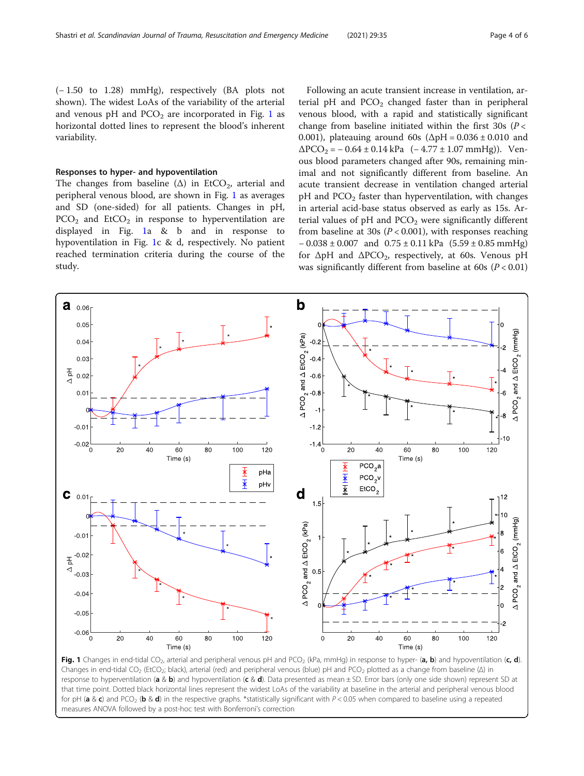(− 1.50 to 1.28) mmHg), respectively (BA plots not shown). The widest LoAs of the variability of the arterial and venous pH and  $PCO<sub>2</sub>$  are incorporated in Fig. 1 as horizontal dotted lines to represent the blood's inherent variability.

#### Responses to hyper- and hypoventilation

The changes from baseline  $(\Delta)$  in EtCO<sub>2</sub>, arterial and peripheral venous blood, are shown in Fig. 1 as averages and SD (one-sided) for all patients. Changes in pH,  $PCO<sub>2</sub>$  and  $EtCO<sub>2</sub>$  in response to hyperventilation are displayed in Fig. 1a & b and in response to hypoventilation in Fig. 1c & d, respectively. No patient reached termination criteria during the course of the study.

Following an acute transient increase in ventilation, arterial pH and  $PCO<sub>2</sub>$  changed faster than in peripheral venous blood, with a rapid and statistically significant change from baseline initiated within the first  $30s$  ( $P <$ 0.001), plateauing around 60s ( $\Delta$ pH = 0.036 ± 0.010 and  $\Delta PCO_2 = -0.64 \pm 0.14$  kPa  $(-4.77 \pm 1.07$  mmHg)). Venous blood parameters changed after 90s, remaining minimal and not significantly different from baseline. An acute transient decrease in ventilation changed arterial  $pH$  and  $PCO<sub>2</sub>$  faster than hyperventilation, with changes in arterial acid-base status observed as early as 15s. Arterial values of  $pH$  and  $PCO<sub>2</sub>$  were significantly different from baseline at 30s ( $P < 0.001$ ), with responses reaching  $-0.038 \pm 0.007$  and  $0.75 \pm 0.11$  kPa  $(5.59 \pm 0.85$  mmHg) for  $\Delta pH$  and  $\Delta PCO_2$ , respectively, at 60s. Venous pH was significantly different from baseline at 60s ( $P < 0.01$ )



Fig. 1 Changes in end-tidal CO<sub>2</sub>, arterial and peripheral venous pH and PCO<sub>2</sub> (kPa, mmHg) in response to hyper- (a, b) and hypoventilation (c, d). Changes in end-tidal CO<sub>2</sub> (EtCO<sub>2</sub>; black), arterial (red) and peripheral venous (blue) pH and PCO<sub>2</sub> plotted as a change from baseline (Δ) in response to hyperventilation (a & b) and hypoventilation (c & d). Data presented as mean  $\pm$  SD. Error bars (only one side shown) represent SD at that time point. Dotted black horizontal lines represent the widest LoAs of the variability at baseline in the arterial and peripheral venous blood for pH (a & c) and PCO<sub>2</sub> (b & d) in the respective graphs. \*statistically significant with P < 0.05 when compared to baseline using a repeated measures ANOVA followed by a post-hoc test with Bonferroni's correction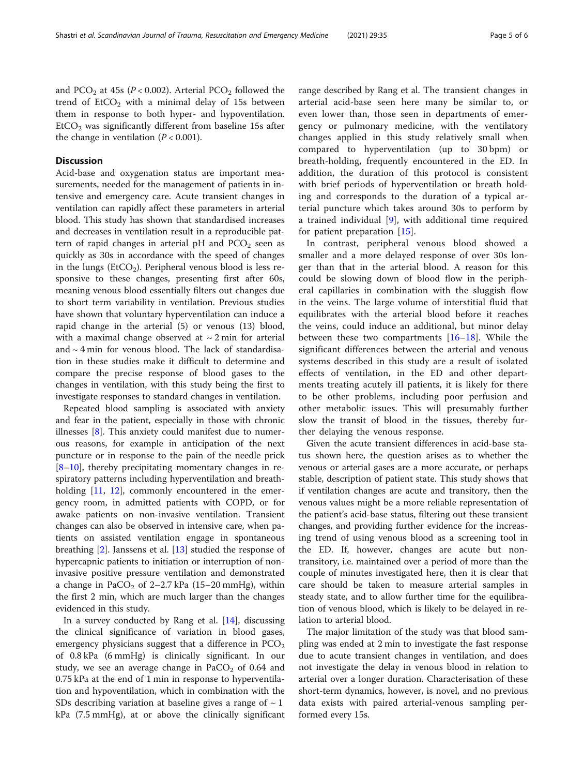and PCO<sub>2</sub> at 45s ( $P < 0.002$ ). Arterial PCO<sub>2</sub> followed the trend of  $ECO<sub>2</sub>$  with a minimal delay of 15s between them in response to both hyper- and hypoventilation.  $E<sub>1</sub>ECO<sub>2</sub>$  was significantly different from baseline 15s after the change in ventilation  $(P < 0.001)$ .

#### **Discussion**

Acid-base and oxygenation status are important measurements, needed for the management of patients in intensive and emergency care. Acute transient changes in ventilation can rapidly affect these parameters in arterial blood. This study has shown that standardised increases and decreases in ventilation result in a reproducible pattern of rapid changes in arterial pH and  $PCO<sub>2</sub>$  seen as quickly as 30s in accordance with the speed of changes in the lungs ( $EtCO<sub>2</sub>$ ). Peripheral venous blood is less responsive to these changes, presenting first after 60s, meaning venous blood essentially filters out changes due to short term variability in ventilation. Previous studies have shown that voluntary hyperventilation can induce a rapid change in the arterial (5) or venous (13) blood, with a maximal change observed at  $\sim$  2 min for arterial and  $\sim$  4 min for venous blood. The lack of standardisation in these studies make it difficult to determine and compare the precise response of blood gases to the changes in ventilation, with this study being the first to investigate responses to standard changes in ventilation.

Repeated blood sampling is associated with anxiety and fear in the patient, especially in those with chronic illnesses [[8\]](#page-5-0). This anxiety could manifest due to numerous reasons, for example in anticipation of the next puncture or in response to the pain of the needle prick  $[8-10]$  $[8-10]$  $[8-10]$  $[8-10]$ , thereby precipitating momentary changes in respiratory patterns including hyperventilation and breath-holding [[11](#page-5-0), [12](#page-5-0)], commonly encountered in the emergency room, in admitted patients with COPD, or for awake patients on non-invasive ventilation. Transient changes can also be observed in intensive care, when patients on assisted ventilation engage in spontaneous breathing [[2\]](#page-5-0). Janssens et al. [[13](#page-5-0)] studied the response of hypercapnic patients to initiation or interruption of noninvasive positive pressure ventilation and demonstrated a change in PaCO<sub>2</sub> of 2-2.7 kPa (15-20 mmHg), within the first 2 min, which are much larger than the changes evidenced in this study.

In a survey conducted by Rang et al. [[14\]](#page-5-0), discussing the clinical significance of variation in blood gases, emergency physicians suggest that a difference in  $PCO<sub>2</sub>$ of 0.8 kPa (6 mmHg) is clinically significant. In our study, we see an average change in  $PaCO<sub>2</sub>$  of 0.64 and 0.75 kPa at the end of 1 min in response to hyperventilation and hypoventilation, which in combination with the SDs describing variation at baseline gives a range of  $\sim$  1 kPa (7.5 mmHg), at or above the clinically significant

range described by Rang et al. The transient changes in arterial acid-base seen here many be similar to, or even lower than, those seen in departments of emergency or pulmonary medicine, with the ventilatory changes applied in this study relatively small when compared to hyperventilation (up to 30 bpm) or breath-holding, frequently encountered in the ED. In addition, the duration of this protocol is consistent with brief periods of hyperventilation or breath holding and corresponds to the duration of a typical arterial puncture which takes around 30s to perform by a trained individual [[9\]](#page-5-0), with additional time required for patient preparation [[15\]](#page-5-0).

In contrast, peripheral venous blood showed a smaller and a more delayed response of over 30s longer than that in the arterial blood. A reason for this could be slowing down of blood flow in the peripheral capillaries in combination with the sluggish flow in the veins. The large volume of interstitial fluid that equilibrates with the arterial blood before it reaches the veins, could induce an additional, but minor delay between these two compartments [[16](#page-5-0)–[18](#page-5-0)]. While the significant differences between the arterial and venous systems described in this study are a result of isolated effects of ventilation, in the ED and other departments treating acutely ill patients, it is likely for there to be other problems, including poor perfusion and other metabolic issues. This will presumably further slow the transit of blood in the tissues, thereby further delaying the venous response.

Given the acute transient differences in acid-base status shown here, the question arises as to whether the venous or arterial gases are a more accurate, or perhaps stable, description of patient state. This study shows that if ventilation changes are acute and transitory, then the venous values might be a more reliable representation of the patient's acid-base status, filtering out these transient changes, and providing further evidence for the increasing trend of using venous blood as a screening tool in the ED. If, however, changes are acute but nontransitory, i.e. maintained over a period of more than the couple of minutes investigated here, then it is clear that care should be taken to measure arterial samples in steady state, and to allow further time for the equilibration of venous blood, which is likely to be delayed in relation to arterial blood.

The major limitation of the study was that blood sampling was ended at 2 min to investigate the fast response due to acute transient changes in ventilation, and does not investigate the delay in venous blood in relation to arterial over a longer duration. Characterisation of these short-term dynamics, however, is novel, and no previous data exists with paired arterial-venous sampling performed every 15s.